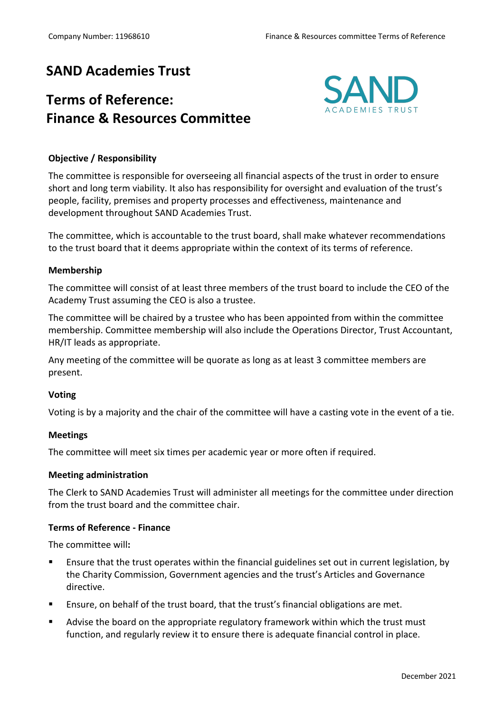## **SAND Academies Trust**

# **Terms of Reference: Finance & Resources Committee**



## **Objective / Responsibility**

The committee is responsible for overseeing all financial aspects of the trust in order to ensure short and long term viability. It also has responsibility for oversight and evaluation of the trust's people, facility, premises and property processes and effectiveness, maintenance and development throughout SAND Academies Trust.

The committee, which is accountable to the trust board, shall make whatever recommendations to the trust board that it deems appropriate within the context of its terms of reference.

### **Membership**

The committee will consist of at least three members of the trust board to include the CEO of the Academy Trust assuming the CEO is also a trustee.

The committee will be chaired by a trustee who has been appointed from within the committee membership. Committee membership will also include the Operations Director, Trust Accountant, HR/IT leads as appropriate.

Any meeting of the committee will be quorate as long as at least 3 committee members are present.

### **Voting**

Voting is by a majority and the chair of the committee will have a casting vote in the event of a tie.

### **Meetings**

The committee will meet six times per academic year or more often if required.

#### **Meeting administration**

The Clerk to SAND Academies Trust will administer all meetings for the committee under direction from the trust board and the committee chair.

### **Terms of Reference - Finance**

The committee will**:**

- Ensure that the trust operates within the financial guidelines set out in current legislation, by the Charity Commission, Government agencies and the trust's Articles and Governance directive.
- Ensure, on behalf of the trust board, that the trust's financial obligations are met.
- **EXTED Advise the board on the appropriate regulatory framework within which the trust must** function, and regularly review it to ensure there is adequate financial control in place.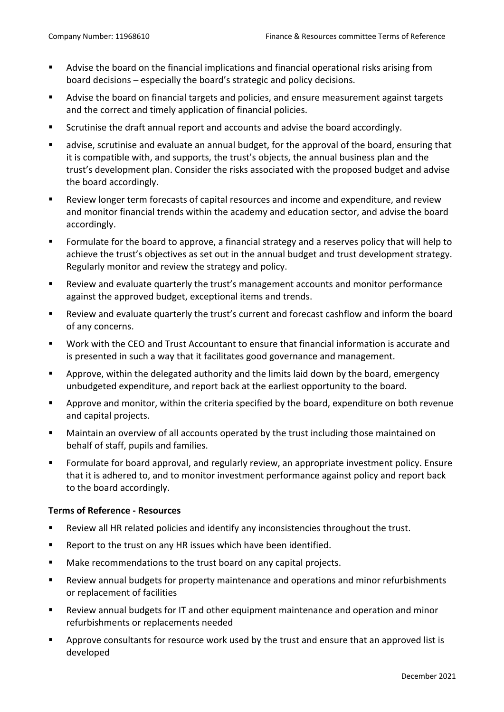- Advise the board on the financial implications and financial operational risks arising from board decisions – especially the board's strategic and policy decisions.
- Advise the board on financial targets and policies, and ensure measurement against targets and the correct and timely application of financial policies.
- Scrutinise the draft annual report and accounts and advise the board accordingly.
- advise, scrutinise and evaluate an annual budget, for the approval of the board, ensuring that it is compatible with, and supports, the trust's objects, the annual business plan and the trust's development plan. Consider the risks associated with the proposed budget and advise the board accordingly.
- Review longer term forecasts of capital resources and income and expenditure, and review and monitor financial trends within the academy and education sector, and advise the board accordingly.
- Formulate for the board to approve, a financial strategy and a reserves policy that will help to achieve the trust's objectives as set out in the annual budget and trust development strategy. Regularly monitor and review the strategy and policy.
- Review and evaluate quarterly the trust's management accounts and monitor performance against the approved budget, exceptional items and trends.
- § Review and evaluate quarterly the trust's current and forecast cashflow and inform the board of any concerns.
- Work with the CEO and Trust Accountant to ensure that financial information is accurate and is presented in such a way that it facilitates good governance and management.
- § Approve, within the delegated authority and the limits laid down by the board, emergency unbudgeted expenditure, and report back at the earliest opportunity to the board.
- § Approve and monitor, within the criteria specified by the board, expenditure on both revenue and capital projects.
- Maintain an overview of all accounts operated by the trust including those maintained on behalf of staff, pupils and families.
- Formulate for board approval, and regularly review, an appropriate investment policy. Ensure that it is adhered to, and to monitor investment performance against policy and report back to the board accordingly.

#### **Terms of Reference - Resources**

- Review all HR related policies and identify any inconsistencies throughout the trust.
- Report to the trust on any HR issues which have been identified.
- Make recommendations to the trust board on any capital projects.
- Review annual budgets for property maintenance and operations and minor refurbishments or replacement of facilities
- Review annual budgets for IT and other equipment maintenance and operation and minor refurbishments or replacements needed
- § Approve consultants for resource work used by the trust and ensure that an approved list is developed